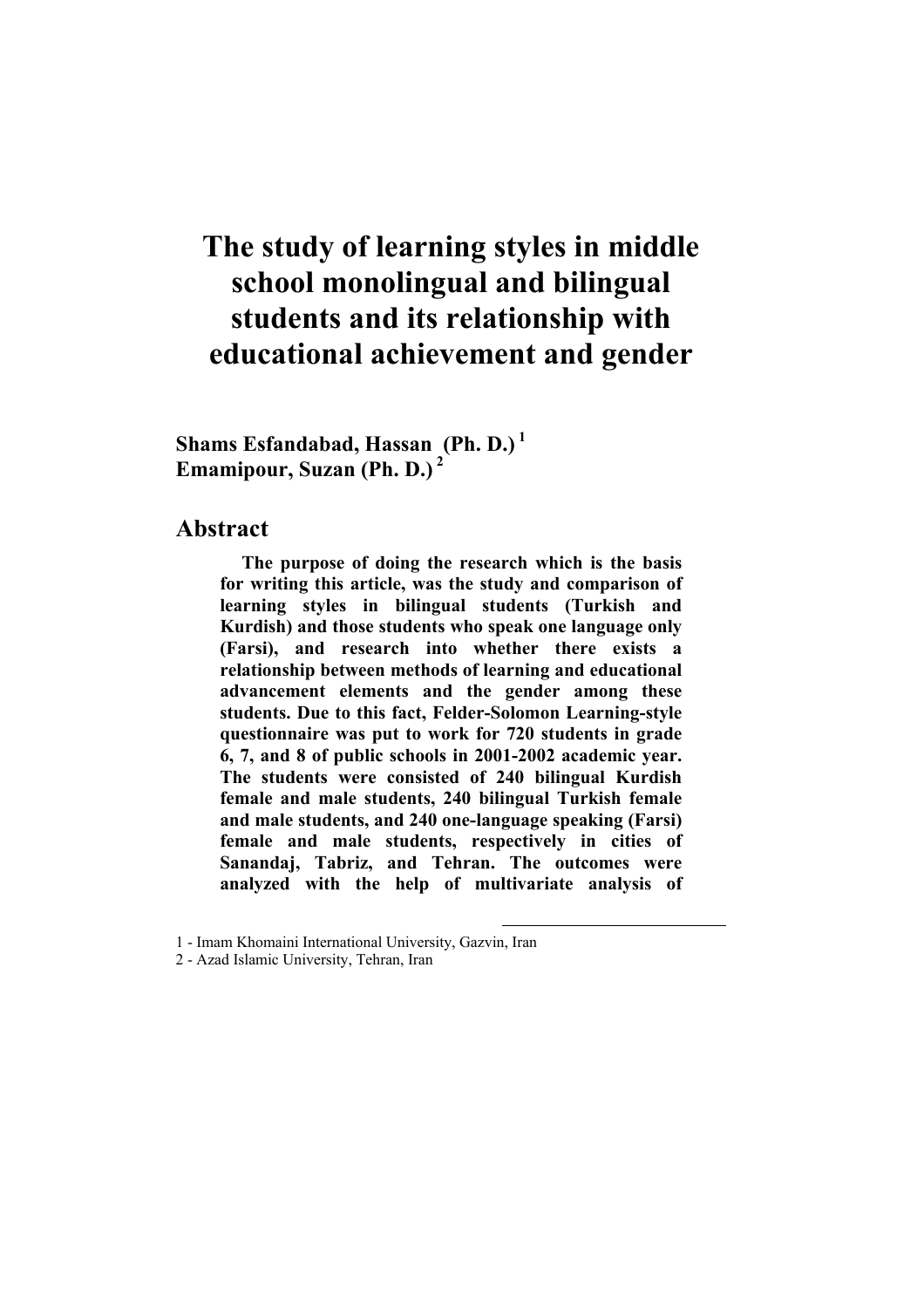# **The study of learning styles in middle school monolingual and bilingual students and its relationship with educational achievement and gender**

**Shams Esfandabad, Hassan (Ph. D.)<sup>1</sup> Emamipour, Suzan (Ph. D.)<sup>2</sup>**

#### **Abstract**

**The purpose of doing the research which is the basis for writing this article, was the study and comparison of learning styles in bilingual students (Turkish and Kurdish) and those students who speak one language only (Farsi), and research into whether there exists a relationship between methods of learning and educational advancement elements and the gender among these students. Due to this fact, Felder-Solomon Learning-style questionnaire was put to work for 720 students in grade 6, 7, and 8 of public schools in 2001-2002 academic year. The students were consisted of 240 bilingual Kurdish female and male students, 240 bilingual Turkish female and male students, and 240 one-language speaking (Farsi) female and male students, respectively in cities of Sanandaj, Tabriz, and Tehran. The outcomes were analyzed with the help of multivariate analysis of** 

 $\overline{\phantom{a}}$ 

<sup>1</sup> - Imam Khomaini International University, Gazvin, Iran

<sup>2</sup> - Azad Islamic University, Tehran, Iran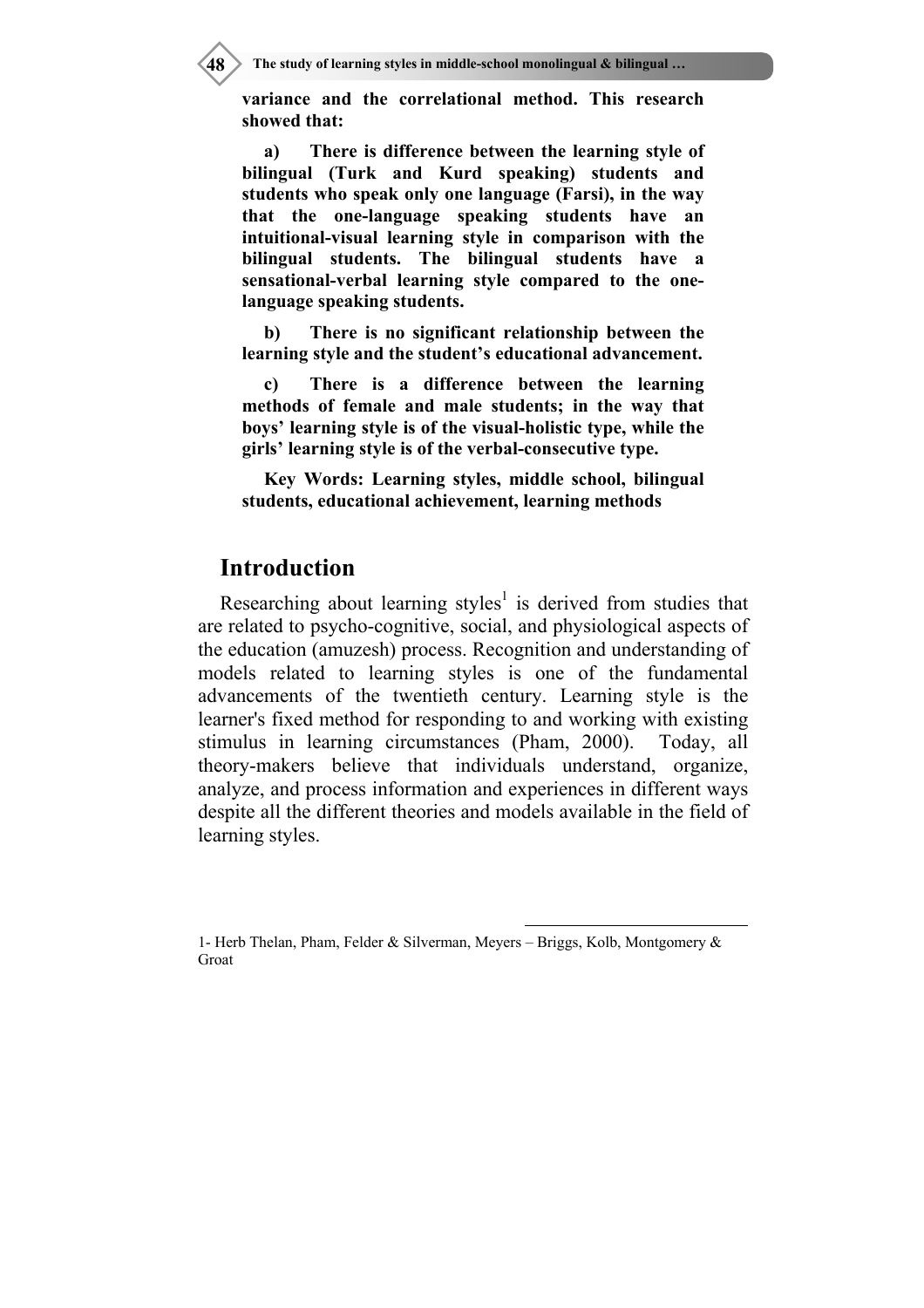**48 The study of learning styles in middle-school monolingual & bilingual …**

**variance and the correlational method. This research showed that:** 

**a) There is difference between the learning style of bilingual (Turk and Kurd speaking) students and students who speak only one language (Farsi), in the way that the one-language speaking students have an intuitional-visual learning style in comparison with the bilingual students. The bilingual students have a sensational-verbal learning style compared to the onelanguage speaking students.** 

**b) There is no significant relationship between the learning style and the student's educational advancement.** 

**c) There is a difference between the learning methods of female and male students; in the way that boys' learning style is of the visual-holistic type, while the girls' learning style is of the verbal-consecutive type.** 

**Key Words: Learning styles, middle school, bilingual students, educational achievement, learning methods** 

#### **Introduction**

Researching about learning styles<sup>1</sup> is derived from studies that are related to psycho-cognitive, social, and physiological aspects of the education (amuzesh) process. Recognition and understanding of models related to learning styles is one of the fundamental advancements of the twentieth century. Learning style is the learner's fixed method for responding to and working with existing stimulus in learning circumstances (Pham, 2000). Today, all theory-makers believe that individuals understand, organize, analyze, and process information and experiences in different ways despite all the different theories and models available in the field of learning styles.

-

<sup>1-</sup> Herb Thelan, Pham, Felder & Silverman, Meyers – Briggs, Kolb, Montgomery & Groat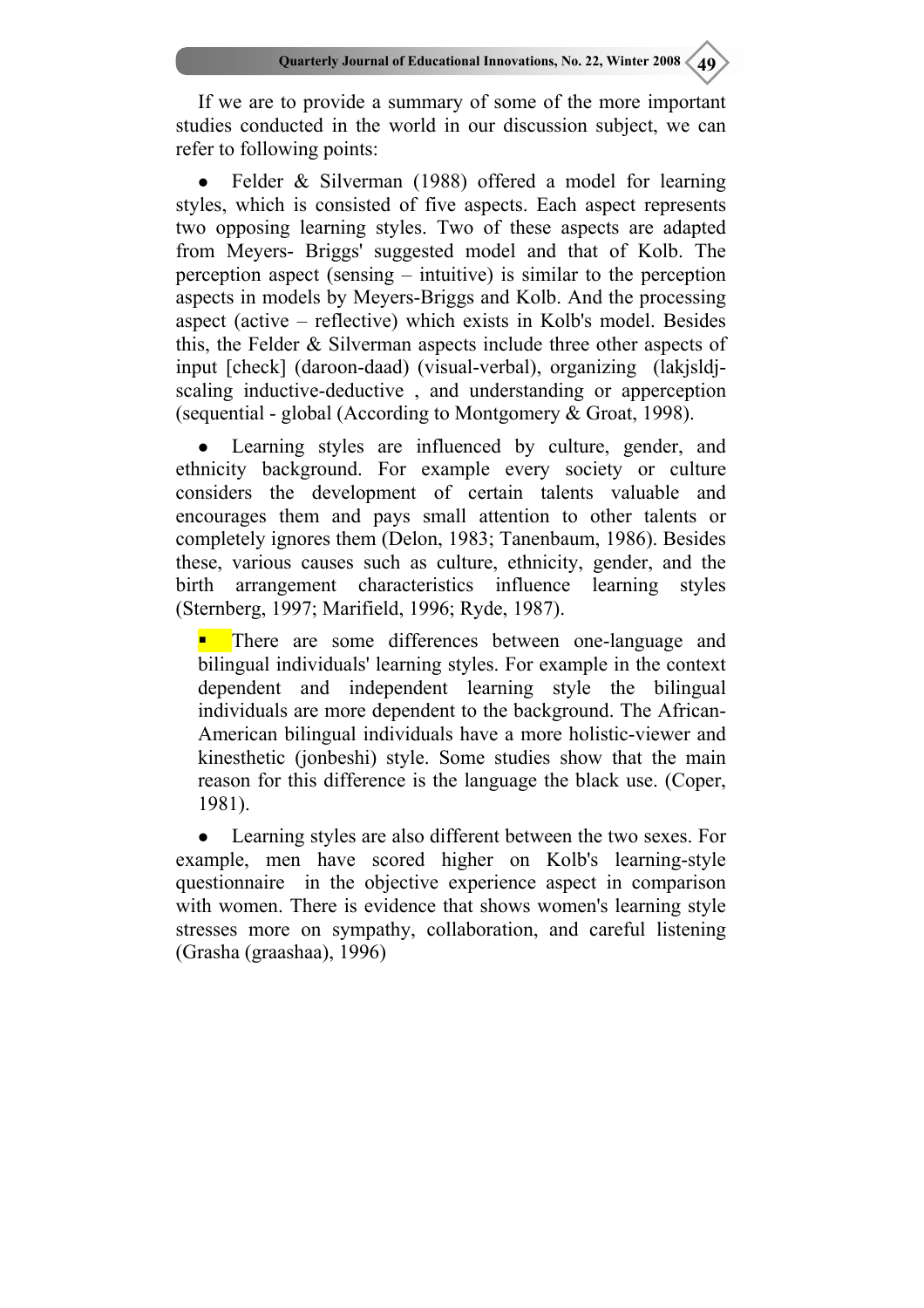If we are to provide a summary of some of the more important studies conducted in the world in our discussion subject, we can refer to following points:

Felder  $\&$  Silverman (1988) offered a model for learning styles, which is consisted of five aspects. Each aspect represents two opposing learning styles. Two of these aspects are adapted from Meyers- Briggs' suggested model and that of Kolb. The perception aspect (sensing – intuitive) is similar to the perception aspects in models by Meyers-Briggs and Kolb. And the processing aspect (active – reflective) which exists in Kolb's model. Besides this, the Felder & Silverman aspects include three other aspects of input [check] (daroon-daad) (visual-verbal), organizing (lakjsldjscaling inductive-deductive , and understanding or apperception (sequential - global (According to Montgomery & Groat, 1998).

Learning styles are influenced by culture, gender, and ethnicity background. For example every society or culture considers the development of certain talents valuable and encourages them and pays small attention to other talents or completely ignores them (Delon, 1983; Tanenbaum, 1986). Besides these, various causes such as culture, ethnicity, gender, and the birth arrangement characteristics influence learning styles (Sternberg, 1997; Marifield, 1996; Ryde, 1987).

 There are some differences between one-language and bilingual individuals' learning styles. For example in the context dependent and independent learning style the bilingual individuals are more dependent to the background. The African-American bilingual individuals have a more holistic-viewer and kinesthetic (jonbeshi) style. Some studies show that the main reason for this difference is the language the black use. (Coper, 1981).

• Learning styles are also different between the two sexes. For example, men have scored higher on Kolb's learning-style questionnaire in the objective experience aspect in comparison with women. There is evidence that shows women's learning style stresses more on sympathy, collaboration, and careful listening (Grasha (graashaa), 1996)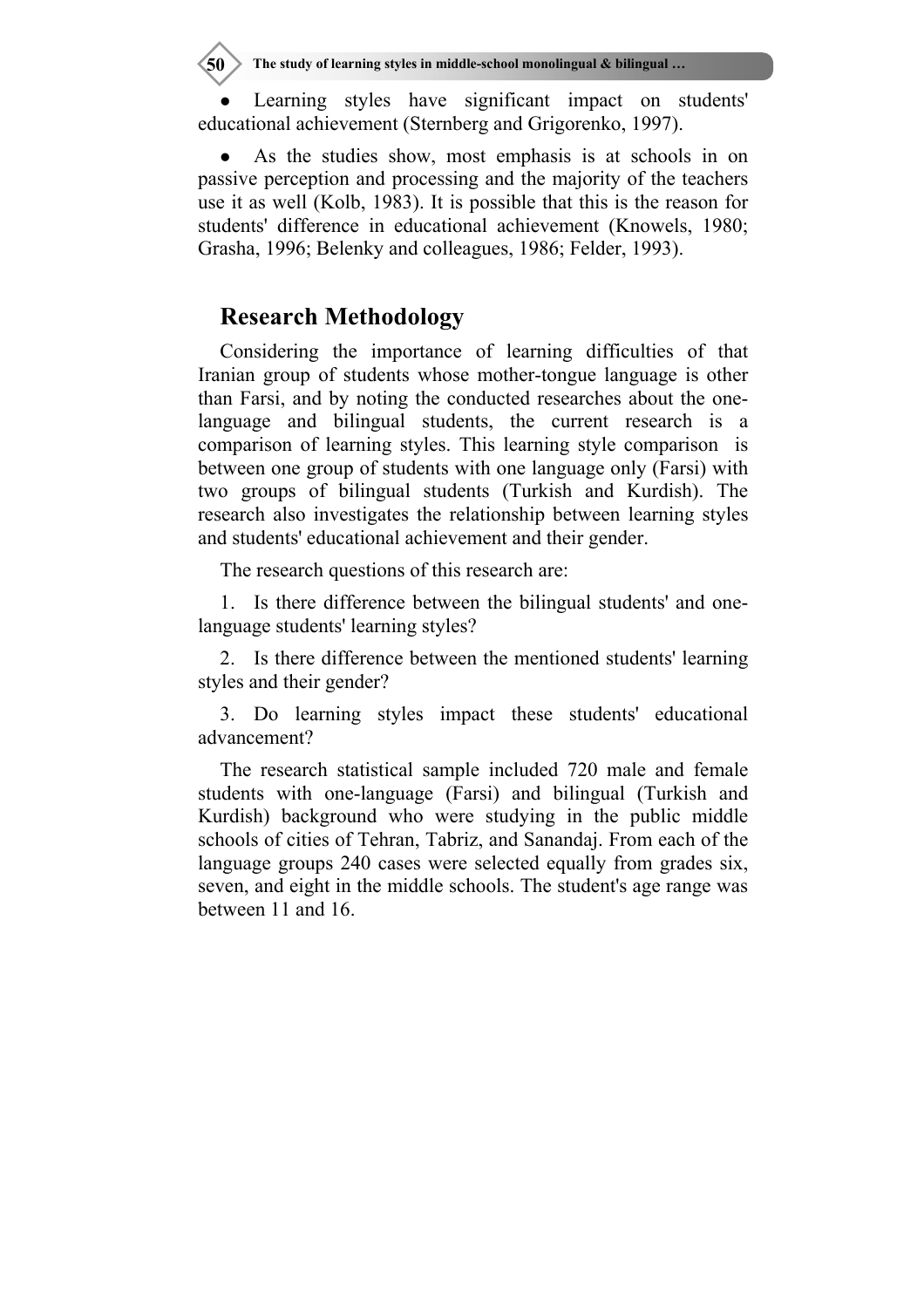Learning styles have significant impact on students' educational achievement (Sternberg and Grigorenko, 1997).

As the studies show, most emphasis is at schools in on passive perception and processing and the majority of the teachers use it as well (Kolb, 1983). It is possible that this is the reason for students' difference in educational achievement (Knowels, 1980; Grasha, 1996; Belenky and colleagues, 1986; Felder, 1993).

### **Research Methodology**

Considering the importance of learning difficulties of that Iranian group of students whose mother-tongue language is other than Farsi, and by noting the conducted researches about the onelanguage and bilingual students, the current research is a comparison of learning styles. This learning style comparison is between one group of students with one language only (Farsi) with two groups of bilingual students (Turkish and Kurdish). The research also investigates the relationship between learning styles and students' educational achievement and their gender.

The research questions of this research are:

1. Is there difference between the bilingual students' and onelanguage students' learning styles?

2. Is there difference between the mentioned students' learning styles and their gender?

3. Do learning styles impact these students' educational advancement?

The research statistical sample included 720 male and female students with one-language (Farsi) and bilingual (Turkish and Kurdish) background who were studying in the public middle schools of cities of Tehran, Tabriz, and Sanandaj. From each of the language groups 240 cases were selected equally from grades six, seven, and eight in the middle schools. The student's age range was between 11 and 16.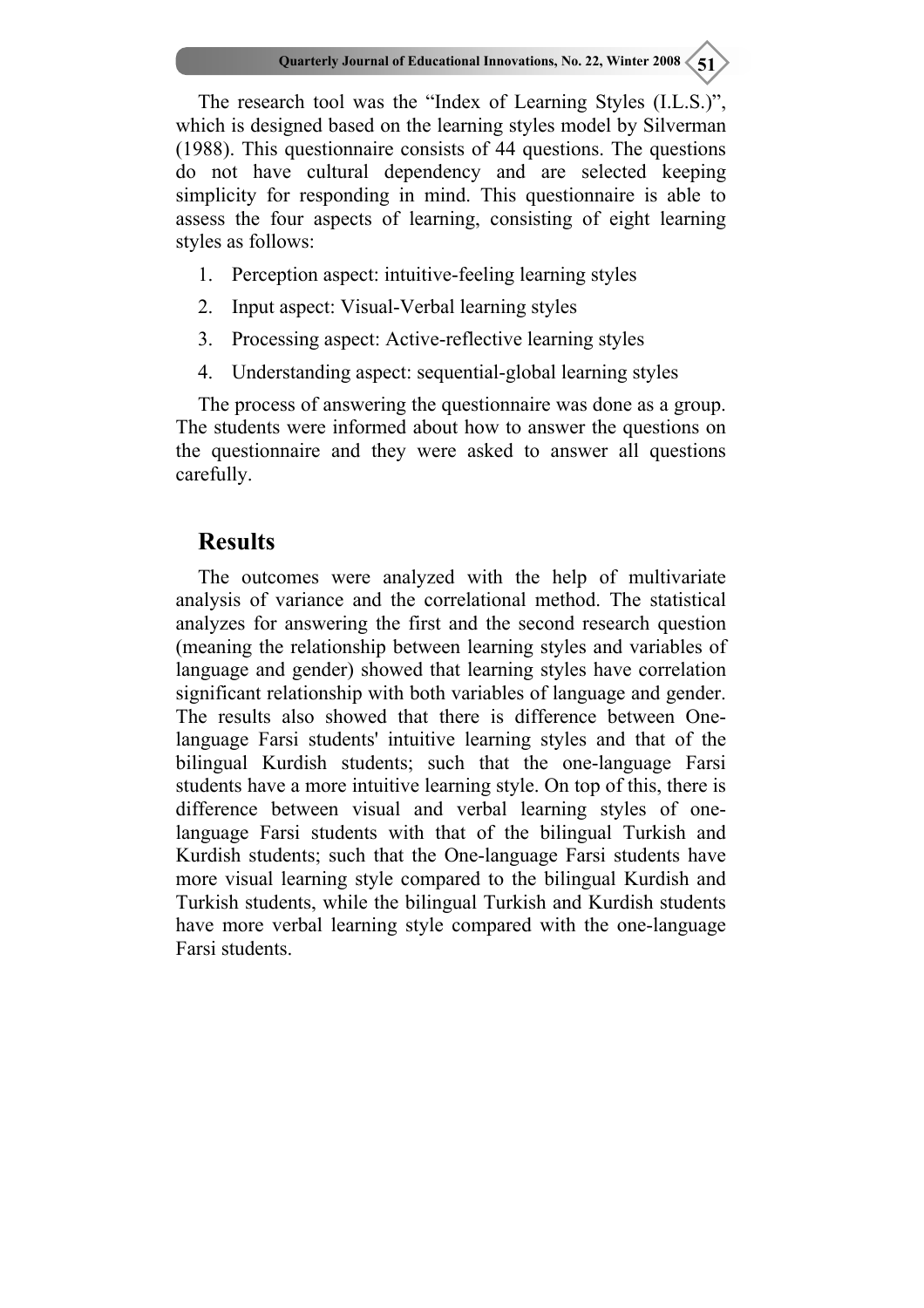The research tool was the "Index of Learning Styles (I.L.S.)", which is designed based on the learning styles model by Silverman (1988). This questionnaire consists of 44 questions. The questions do not have cultural dependency and are selected keeping simplicity for responding in mind. This questionnaire is able to assess the four aspects of learning, consisting of eight learning styles as follows:

- 1. Perception aspect: intuitive-feeling learning styles
- 2. Input aspect: Visual-Verbal learning styles
- 3. Processing aspect: Active-reflective learning styles
- 4. Understanding aspect: sequential-global learning styles

The process of answering the questionnaire was done as a group. The students were informed about how to answer the questions on the questionnaire and they were asked to answer all questions carefully.

### **Results**

The outcomes were analyzed with the help of multivariate analysis of variance and the correlational method. The statistical analyzes for answering the first and the second research question (meaning the relationship between learning styles and variables of language and gender) showed that learning styles have correlation significant relationship with both variables of language and gender. The results also showed that there is difference between Onelanguage Farsi students' intuitive learning styles and that of the bilingual Kurdish students; such that the one-language Farsi students have a more intuitive learning style. On top of this, there is difference between visual and verbal learning styles of onelanguage Farsi students with that of the bilingual Turkish and Kurdish students; such that the One-language Farsi students have more visual learning style compared to the bilingual Kurdish and Turkish students, while the bilingual Turkish and Kurdish students have more verbal learning style compared with the one-language Farsi students.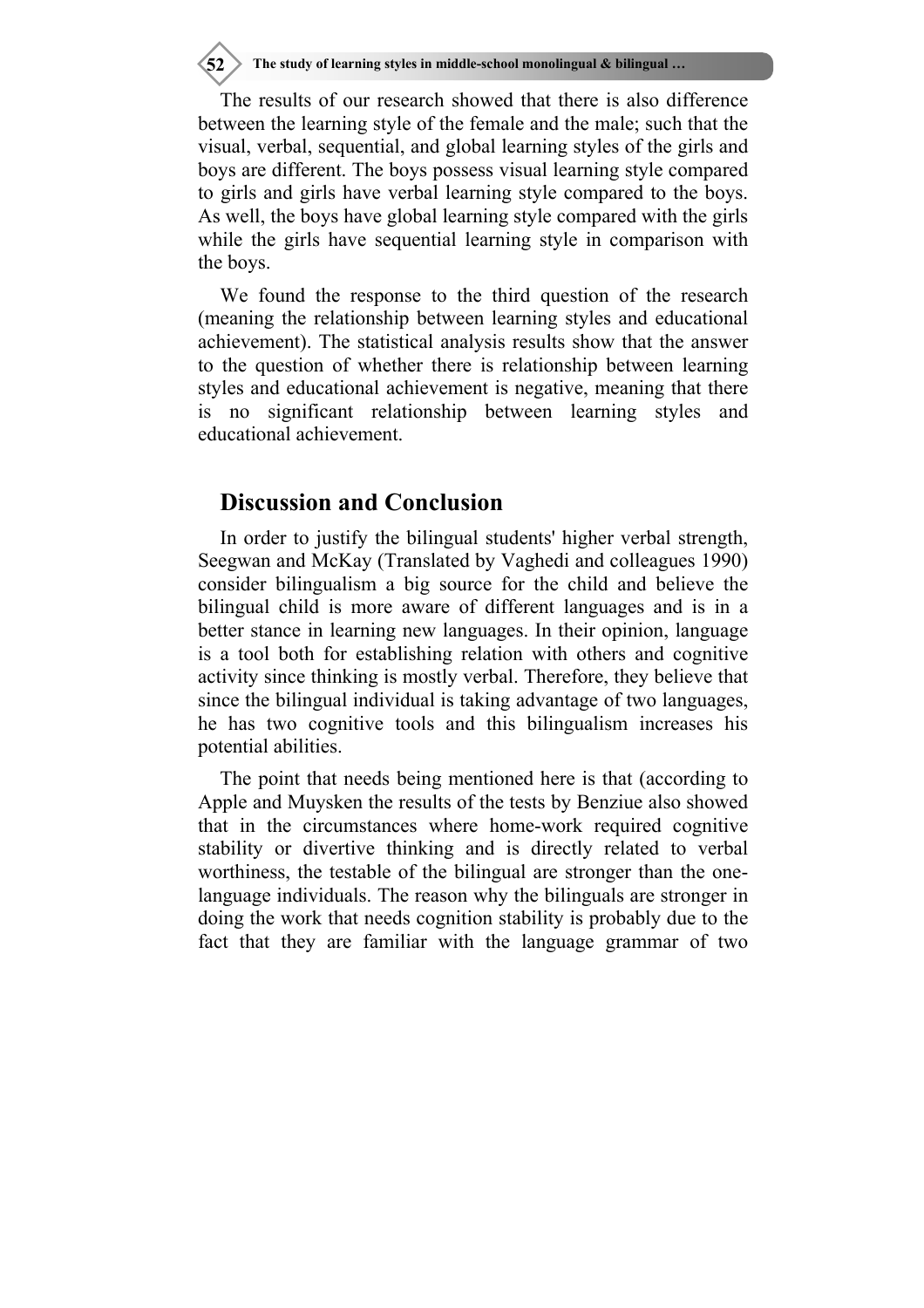**52 The study of learning styles in middle-school monolingual & bilingual …**

The results of our research showed that there is also difference between the learning style of the female and the male; such that the visual, verbal, sequential, and global learning styles of the girls and boys are different. The boys possess visual learning style compared to girls and girls have verbal learning style compared to the boys. As well, the boys have global learning style compared with the girls while the girls have sequential learning style in comparison with the boys.

We found the response to the third question of the research (meaning the relationship between learning styles and educational achievement). The statistical analysis results show that the answer to the question of whether there is relationship between learning styles and educational achievement is negative, meaning that there is no significant relationship between learning styles and educational achievement.

## **Discussion and Conclusion**

In order to justify the bilingual students' higher verbal strength, Seegwan and McKay (Translated by Vaghedi and colleagues 1990) consider bilingualism a big source for the child and believe the bilingual child is more aware of different languages and is in a better stance in learning new languages. In their opinion, language is a tool both for establishing relation with others and cognitive activity since thinking is mostly verbal. Therefore, they believe that since the bilingual individual is taking advantage of two languages, he has two cognitive tools and this bilingualism increases his potential abilities.

The point that needs being mentioned here is that (according to Apple and Muysken the results of the tests by Benziue also showed that in the circumstances where home-work required cognitive stability or divertive thinking and is directly related to verbal worthiness, the testable of the bilingual are stronger than the onelanguage individuals. The reason why the bilinguals are stronger in doing the work that needs cognition stability is probably due to the fact that they are familiar with the language grammar of two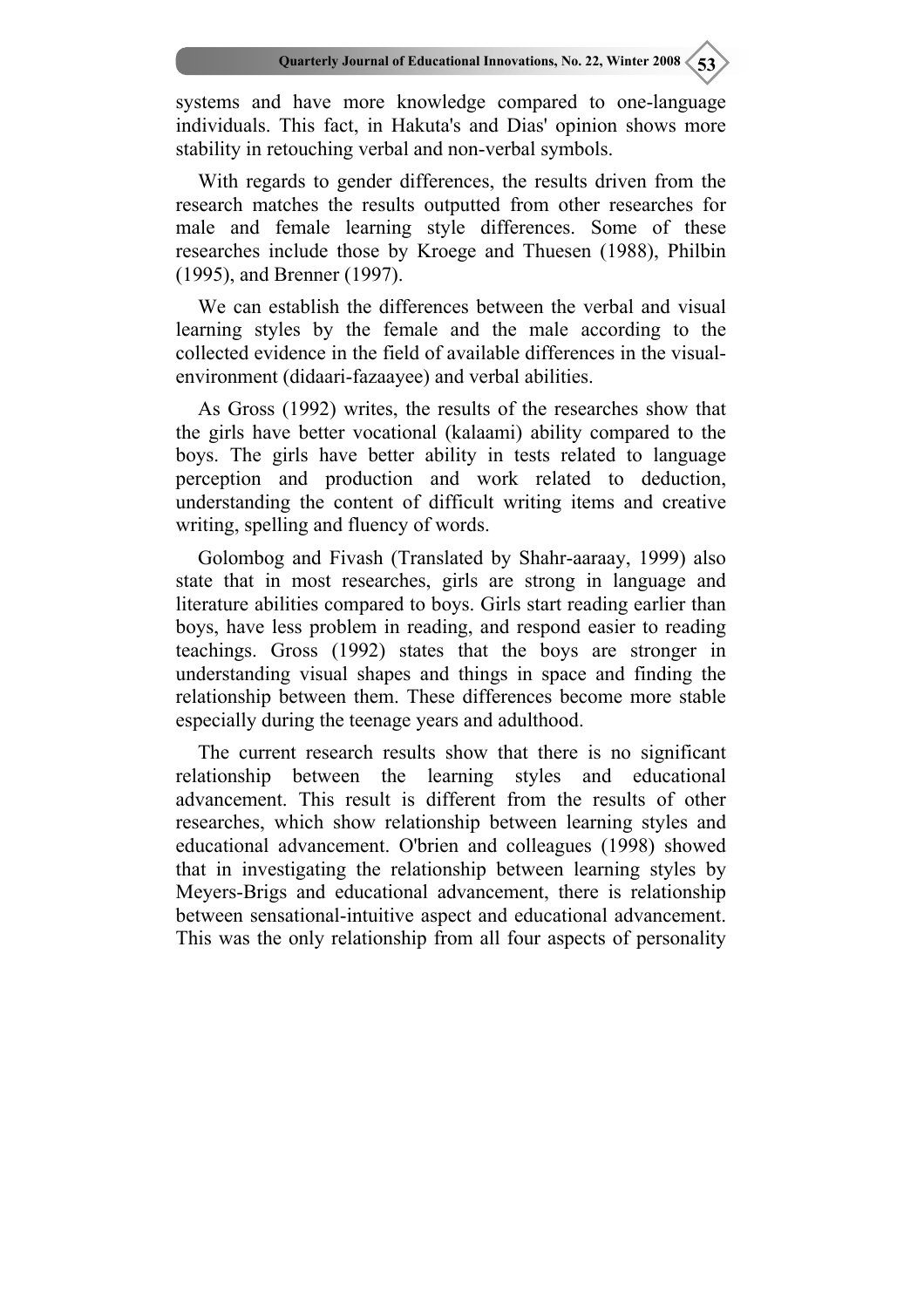systems and have more knowledge compared to one-language individuals. This fact, in Hakuta's and Dias' opinion shows more stability in retouching verbal and non-verbal symbols.

With regards to gender differences, the results driven from the research matches the results outputted from other researches for male and female learning style differences. Some of these researches include those by Kroege and Thuesen (1988), Philbin (1995), and Brenner (1997).

We can establish the differences between the verbal and visual learning styles by the female and the male according to the collected evidence in the field of available differences in the visualenvironment (didaari-fazaayee) and verbal abilities.

As Gross (1992) writes, the results of the researches show that the girls have better vocational (kalaami) ability compared to the boys. The girls have better ability in tests related to language perception and production and work related to deduction, understanding the content of difficult writing items and creative writing, spelling and fluency of words.

Golombog and Fivash (Translated by Shahr-aaraay, 1999) also state that in most researches, girls are strong in language and literature abilities compared to boys. Girls start reading earlier than boys, have less problem in reading, and respond easier to reading teachings. Gross (1992) states that the boys are stronger in understanding visual shapes and things in space and finding the relationship between them. These differences become more stable especially during the teenage years and adulthood.

The current research results show that there is no significant relationship between the learning styles and educational advancement. This result is different from the results of other researches, which show relationship between learning styles and educational advancement. O'brien and colleagues (1998) showed that in investigating the relationship between learning styles by Meyers-Brigs and educational advancement, there is relationship between sensational-intuitive aspect and educational advancement. This was the only relationship from all four aspects of personality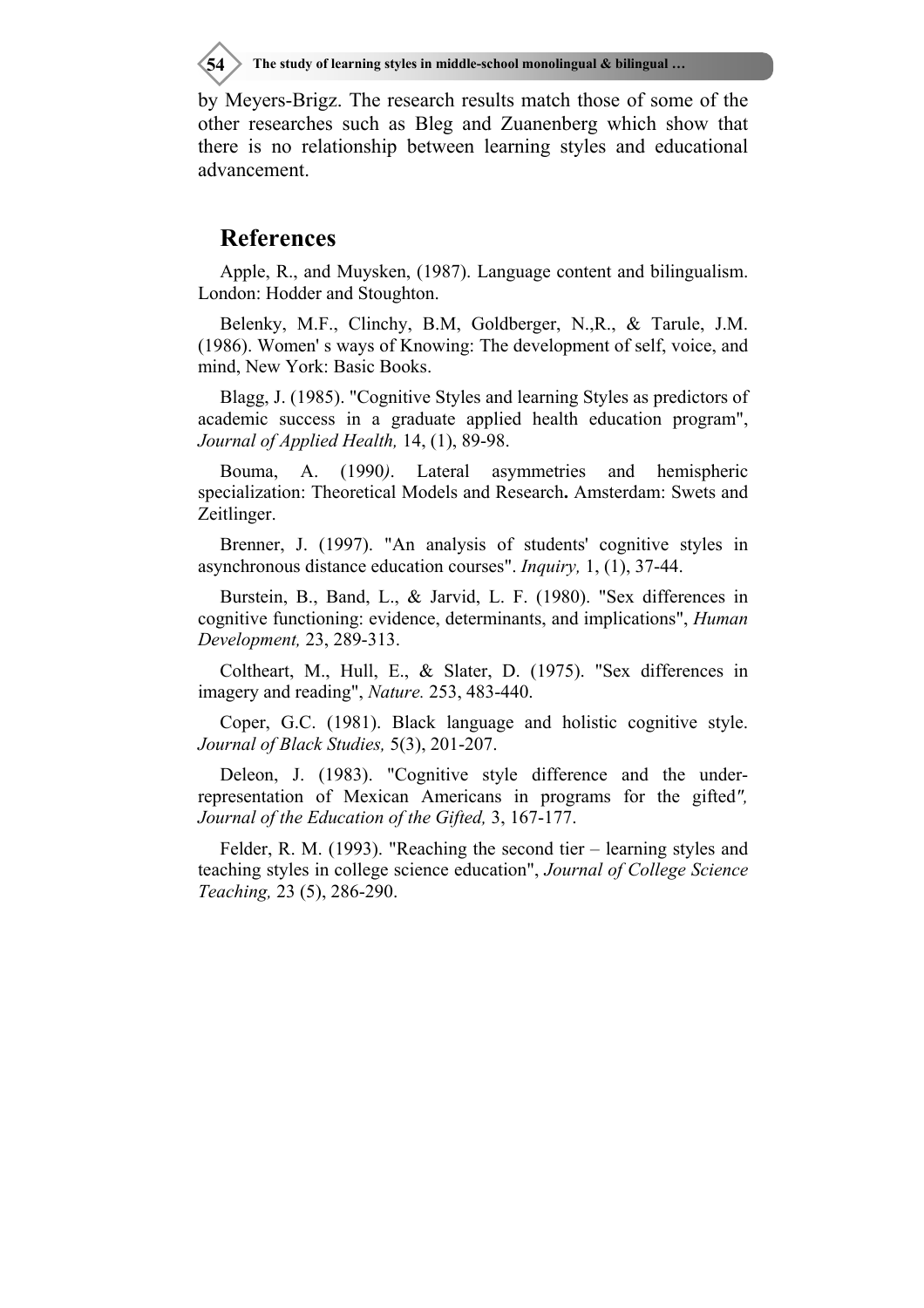by Meyers-Brigz. The research results match those of some of the other researches such as Bleg and Zuanenberg which show that there is no relationship between learning styles and educational advancement.

#### **References**

Apple, R., and Muysken, (1987). Language content and bilingualism. London: Hodder and Stoughton.

Belenky, M.F., Clinchy, B.M, Goldberger, N.,R., & Tarule, J.M. (1986). Women' s ways of Knowing: The development of self, voice, and mind, New York: Basic Books.

Blagg, J. (1985). "Cognitive Styles and learning Styles as predictors of academic success in a graduate applied health education program", *Journal of Applied Health,* 14, (1), 89-98.

Bouma, A. (1990*)*. Lateral asymmetries and hemispheric specialization: Theoretical Models and Research**.** Amsterdam: Swets and Zeitlinger.

Brenner, J. (1997). "An analysis of students' cognitive styles in asynchronous distance education courses". *Inquiry,* 1, (1), 37-44.

Burstein, B., Band, L., & Jarvid, L. F. (1980). "Sex differences in cognitive functioning: evidence, determinants, and implications", *Human Development,* 23, 289-313.

Coltheart, M., Hull, E., & Slater, D. (1975). "Sex differences in imagery and reading", *Nature.* 253, 483-440.

Coper, G.C. (1981). Black language and holistic cognitive style. *Journal of Black Studies,* 5(3), 201-207.

Deleon, J. (1983). "Cognitive style difference and the underrepresentation of Mexican Americans in programs for the gifted*", Journal of the Education of the Gifted,* 3, 167-177.

Felder, R. M. (1993). "Reaching the second tier – learning styles and teaching styles in college science education", *Journal of College Science Teaching,* 23 (5), 286-290.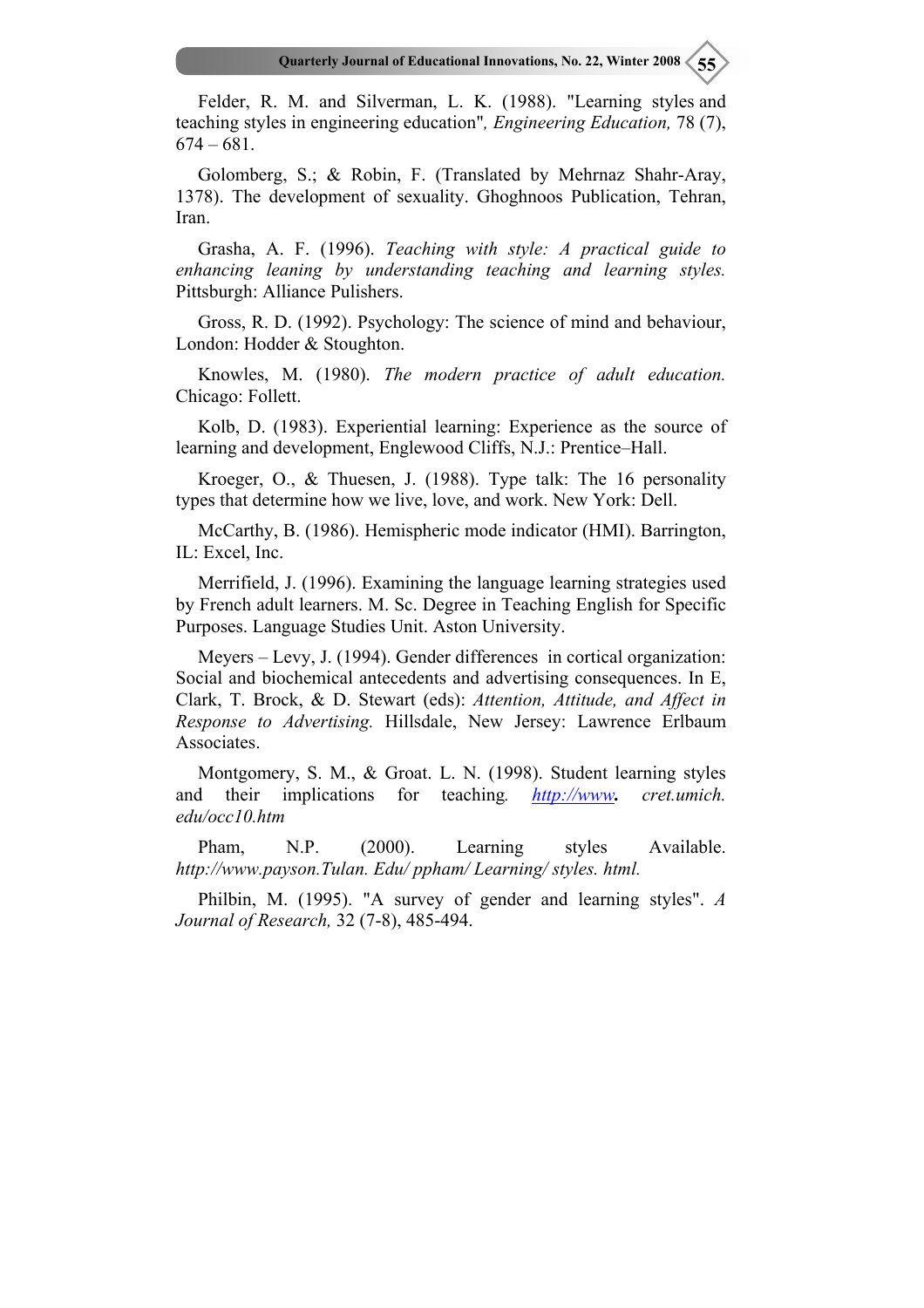Felder, R. M. and Silverman, L. K. (1988). "Learning styles and teaching styles in engineering education"*, Engineering Education,* 78 (7), 674 – 681.

Golomberg, S.; & Robin, F. (Translated by Mehrnaz Shahr-Aray, 1378). The development of sexuality. Ghoghnoos Publication, Tehran, **Iran** 

Grasha, A. F. (1996). *Teaching with style: A practical guide to enhancing leaning by understanding teaching and learning styles.* Pittsburgh: Alliance Pulishers.

Gross, R. D. (1992). Psychology: The science of mind and behaviour, London: Hodder & Stoughton.

Knowles, M. (1980). *The modern practice of adult education.*  Chicago: Follett.

Kolb, D. (1983). Experiential learning: Experience as the source of learning and development, Englewood Cliffs, N.J.: Prentice–Hall.

Kroeger, O., & Thuesen, J. (1988). Type talk: The 16 personality types that determine how we live, love, and work. New York: Dell.

McCarthy, B. (1986). Hemispheric mode indicator (HMI). Barrington, IL: Excel, Inc.

Merrifield, J. (1996). Examining the language learning strategies used by French adult learners. M. Sc. Degree in Teaching English for Specific Purposes. Language Studies Unit. Aston University.

Meyers – Levy, J. (1994). Gender differences in cortical organization: Social and biochemical antecedents and advertising consequences. In E, Clark, T. Brock, & D. Stewart (eds): *Attention, Attitude, and Affect in Response to Advertising.* Hillsdale, New Jersey: Lawrence Erlbaum Associates.

Montgomery, S. M., & Groat. L. N. (1998). Student learning styles and their implications for teaching*. http://www. cret.umich. edu/occ10.htm* 

Pham, N.P. (2000). Learning styles Available. *http://www.payson.Tulan. Edu/ ppham/ Learning/ styles. html.* 

Philbin, M. (1995). "A survey of gender and learning styles". *A Journal of Research,* 32 (7-8), 485-494.